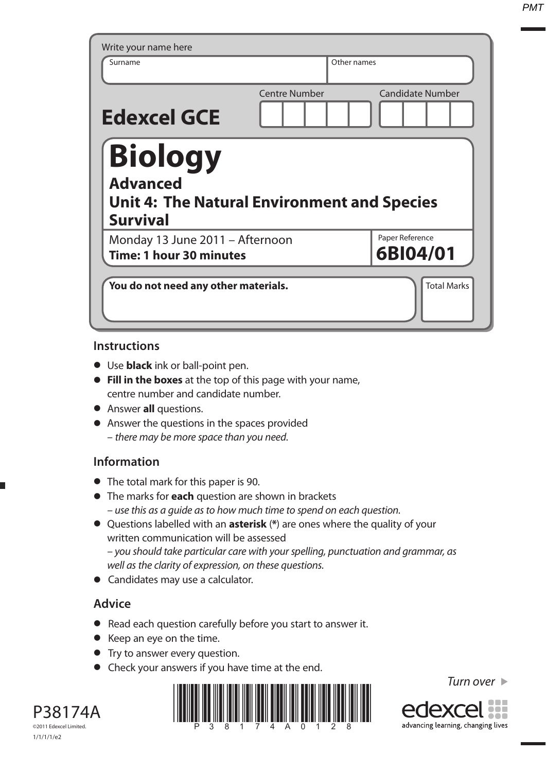| Write your name here                                                                                       |                      |                             |
|------------------------------------------------------------------------------------------------------------|----------------------|-----------------------------|
| Surname                                                                                                    | Other names          |                             |
| <b>Edexcel GCE</b>                                                                                         | <b>Centre Number</b> | <b>Candidate Number</b>     |
| <b>Biology</b><br><b>Advanced</b><br><b>Unit 4: The Natural Environment and Species</b><br><b>Survival</b> |                      |                             |
| Monday 13 June 2011 - Afternoon<br>Time: 1 hour 30 minutes                                                 |                      | Paper Reference<br>6BI04/01 |
| You do not need any other materials.                                                                       |                      | <b>Total Marks</b>          |

### **Instructions**

- **•** Use **black** ink or ball-point pen.
- **Fill in the boxes** at the top of this page with your name, centre number and candidate number.
- **•** Answer **all** questions.
- **•** Answer the questions in the spaces provided – there may be more space than you need.

# **Information**

- **•** The total mark for this paper is 90.
- **t** The marks for **each** question are shown in brackets – use this as a guide as to how much time to spend on each question.
- **t** Questions labelled with an **asterisk** (**\***) are ones where the quality of your written communication will be assessed – you should take particular care with your spelling, punctuation and grammar, as well as the clarity of expression, on these questions.
- **•** Candidates may use a calculator.

# **Advice**

- **•** Read each question carefully before you start to answer it.
- **•** Keep an eye on the time.
- **•** Try to answer every question.
- **•** Check your answers if you have time at the end.



P38174A ©2011 Edexcel Limited. 1/1/1/1/e2

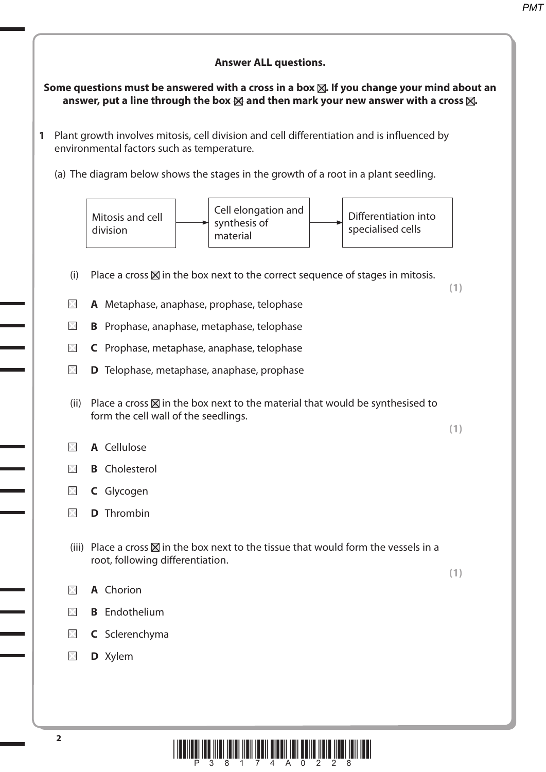|             | <b>Answer ALL questions.</b>                                                                                                             |     |
|-------------|------------------------------------------------------------------------------------------------------------------------------------------|-----|
|             | Some questions must be answered with a cross in a box $\boxtimes$ . If you change your mind about an                                     |     |
|             | answer, put a line through the box $\boxtimes$ and then mark your new answer with a cross $\boxtimes$ .                                  |     |
| 1           | Plant growth involves mitosis, cell division and cell differentiation and is influenced by<br>environmental factors such as temperature. |     |
|             | (a) The diagram below shows the stages in the growth of a root in a plant seedling.                                                      |     |
|             |                                                                                                                                          |     |
|             | Cell elongation and<br>Differentiation into<br>Mitosis and cell<br>synthesis of<br>specialised cells<br>division<br>material             |     |
| (i)         | Place a cross $\boxtimes$ in the box next to the correct sequence of stages in mitosis.                                                  | (1) |
| $\times$    | A Metaphase, anaphase, prophase, telophase                                                                                               |     |
| $\boxtimes$ | <b>B</b> Prophase, anaphase, metaphase, telophase                                                                                        |     |
| $\boxtimes$ | C Prophase, metaphase, anaphase, telophase                                                                                               |     |
| $\boxtimes$ | <b>D</b> Telophase, metaphase, anaphase, prophase                                                                                        |     |
| (ii)        | Place a cross $\boxtimes$ in the box next to the material that would be synthesised to<br>form the cell wall of the seedlings.           | (1) |
| $\times$    | A Cellulose                                                                                                                              |     |
| $\boxtimes$ | <b>B</b> Cholesterol                                                                                                                     |     |
| $\boxtimes$ | C Glycogen                                                                                                                               |     |
| $\boxtimes$ | <b>D</b> Thrombin                                                                                                                        |     |
|             | (iii) Place a cross $\boxtimes$ in the box next to the tissue that would form the vessels in a<br>root, following differentiation.       | (1) |
| $\boxtimes$ | A Chorion                                                                                                                                |     |
| $\boxtimes$ | <b>B</b> Endothelium                                                                                                                     |     |
| $\times$    | C Sclerenchyma                                                                                                                           |     |
| $\times$    | D Xylem                                                                                                                                  |     |
|             |                                                                                                                                          |     |
|             |                                                                                                                                          |     |

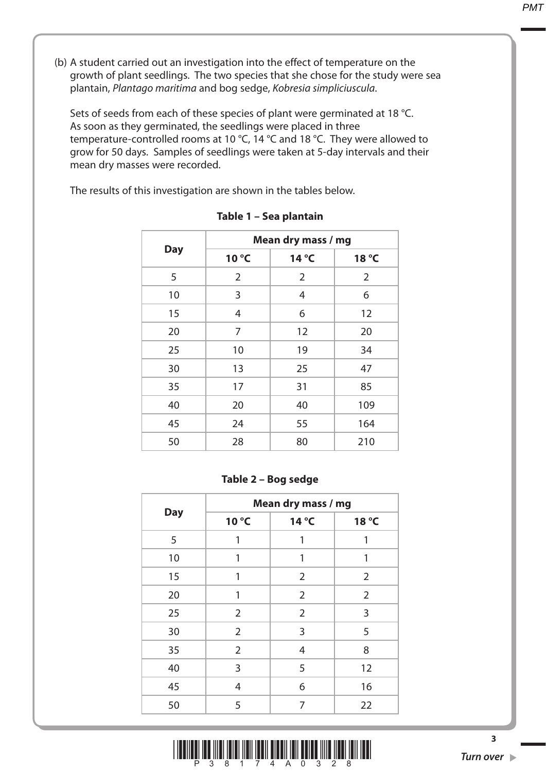(b) A student carried out an investigation into the effect of temperature on the growth of plant seedlings. The two species that she chose for the study were sea plantain, Plantago maritima and bog sedge, Kobresia simpliciuscula.

 Sets of seeds from each of these species of plant were germinated at 18 °C. As soon as they germinated, the seedlings were placed in three temperature-controlled rooms at 10 °C, 14 °C and 18 °C. They were allowed to grow for 50 days. Samples of seedlings were taken at 5-day intervals and their mean dry masses were recorded.

The results of this investigation are shown in the tables below.

|            | Mean dry mass / mg |                |                |  |
|------------|--------------------|----------------|----------------|--|
| <b>Day</b> | 10 °C              | 14 °C          | 18 °C          |  |
| 5          | 2                  | $\overline{2}$ | $\overline{2}$ |  |
| 10         | 3                  | 4              | 6              |  |
| 15         | $\overline{4}$     | 6              | 12             |  |
| 20         | 7                  | 12             | 20             |  |
| 25         | 10                 | 19             | 34             |  |
| 30         | 13                 | 25             | 47             |  |
| 35         | 17                 | 31             | 85             |  |
| 40         | 20                 | 40             | 109            |  |
| 45         | 24                 | 55             | 164            |  |
| 50         | 28                 | 80             | 210            |  |

**Table 1 – Sea plantain**

#### **Table 2 – Bog sedge**

|            | Mean dry mass / mg |                |                |  |
|------------|--------------------|----------------|----------------|--|
| <b>Day</b> | 10 °C              | 14 °C          | 18 °C          |  |
| 5          | 1                  | 1              | 1              |  |
| 10         | 1                  | 1              | 1              |  |
| 15         | 1                  | $\overline{2}$ | $\overline{2}$ |  |
| 20         | 1                  | $\overline{2}$ | $\overline{2}$ |  |
| 25         | $\overline{2}$     | $\overline{2}$ | 3              |  |
| 30         | $\overline{2}$     | 3              | 5              |  |
| 35         | $\overline{2}$     | 4              | 8              |  |
| 40         | 3                  | 5              | 12             |  |
| 45         | 4                  | 6              | 16             |  |
| 50         | 5                  | 7              | 22             |  |

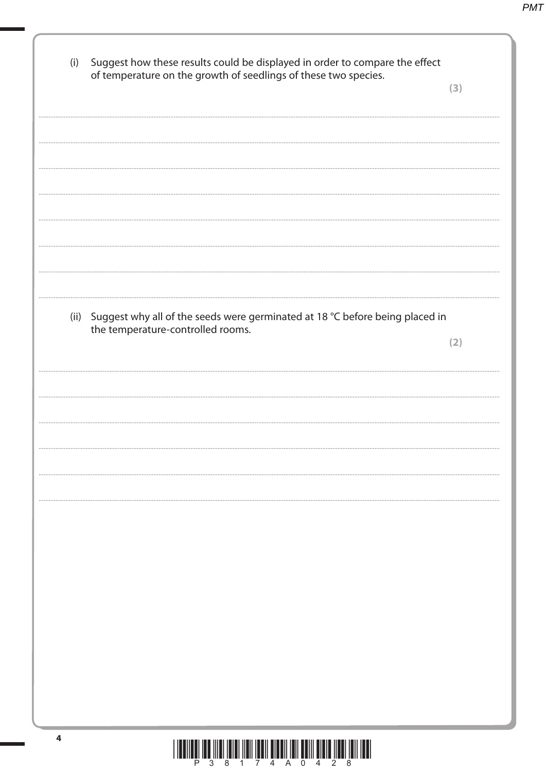Suggest how these results could be displayed in order to compare the effect  $(i)$ of temperature on the growth of seedlings of these two species.  $(3)$ (ii) Suggest why all of the seeds were germinated at 18 °C before being placed in the temperature-controlled rooms.  $(2)$  $\overline{\mathbf{4}}$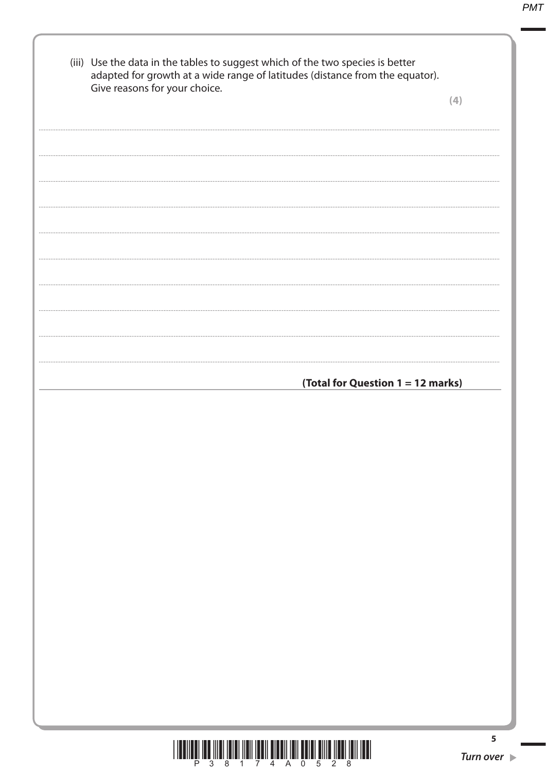| adapted for growth at a wide range of latitudes (distance from the equator).<br>Give reasons for your choice.                                                                                                                                                                                                                                                                 |     |
|-------------------------------------------------------------------------------------------------------------------------------------------------------------------------------------------------------------------------------------------------------------------------------------------------------------------------------------------------------------------------------|-----|
|                                                                                                                                                                                                                                                                                                                                                                               | (4) |
|                                                                                                                                                                                                                                                                                                                                                                               |     |
|                                                                                                                                                                                                                                                                                                                                                                               |     |
|                                                                                                                                                                                                                                                                                                                                                                               |     |
|                                                                                                                                                                                                                                                                                                                                                                               |     |
|                                                                                                                                                                                                                                                                                                                                                                               |     |
|                                                                                                                                                                                                                                                                                                                                                                               |     |
|                                                                                                                                                                                                                                                                                                                                                                               |     |
|                                                                                                                                                                                                                                                                                                                                                                               |     |
|                                                                                                                                                                                                                                                                                                                                                                               |     |
|                                                                                                                                                                                                                                                                                                                                                                               |     |
|                                                                                                                                                                                                                                                                                                                                                                               |     |
|                                                                                                                                                                                                                                                                                                                                                                               |     |
|                                                                                                                                                                                                                                                                                                                                                                               |     |
|                                                                                                                                                                                                                                                                                                                                                                               |     |
|                                                                                                                                                                                                                                                                                                                                                                               |     |
|                                                                                                                                                                                                                                                                                                                                                                               |     |
| (Total for Question 1 = 12 marks)                                                                                                                                                                                                                                                                                                                                             |     |
|                                                                                                                                                                                                                                                                                                                                                                               |     |
|                                                                                                                                                                                                                                                                                                                                                                               |     |
|                                                                                                                                                                                                                                                                                                                                                                               |     |
|                                                                                                                                                                                                                                                                                                                                                                               |     |
|                                                                                                                                                                                                                                                                                                                                                                               |     |
|                                                                                                                                                                                                                                                                                                                                                                               |     |
|                                                                                                                                                                                                                                                                                                                                                                               |     |
|                                                                                                                                                                                                                                                                                                                                                                               |     |
|                                                                                                                                                                                                                                                                                                                                                                               |     |
|                                                                                                                                                                                                                                                                                                                                                                               |     |
|                                                                                                                                                                                                                                                                                                                                                                               |     |
|                                                                                                                                                                                                                                                                                                                                                                               |     |
|                                                                                                                                                                                                                                                                                                                                                                               |     |
|                                                                                                                                                                                                                                                                                                                                                                               |     |
|                                                                                                                                                                                                                                                                                                                                                                               |     |
|                                                                                                                                                                                                                                                                                                                                                                               |     |
|                                                                                                                                                                                                                                                                                                                                                                               |     |
|                                                                                                                                                                                                                                                                                                                                                                               |     |
|                                                                                                                                                                                                                                                                                                                                                                               |     |
|                                                                                                                                                                                                                                                                                                                                                                               |     |
|                                                                                                                                                                                                                                                                                                                                                                               |     |
|                                                                                                                                                                                                                                                                                                                                                                               |     |
| $\begin{array}{c} \hbox{  l  l  } \hbox{  l  } \hbox{  l  } \hbox{  l  } \hbox{  l  } \hbox{  l  } \hbox{  l  } \hbox{  l  } \hbox{  l  } \hbox{  l  } \hbox{  l  } \hbox{  l  } \hbox{  l  } \hbox{  l  } \hbox{  l  } \hbox{  l  } \hbox{  l  } \hbox{  l  } \hbox{  l  } \hbox{  l  } \hbox{  l  } \hbox{  l  } \hbox{  l  } \hbox{  l  } \hbox{  l  } \hbox{  l  } \hbox$ |     |

1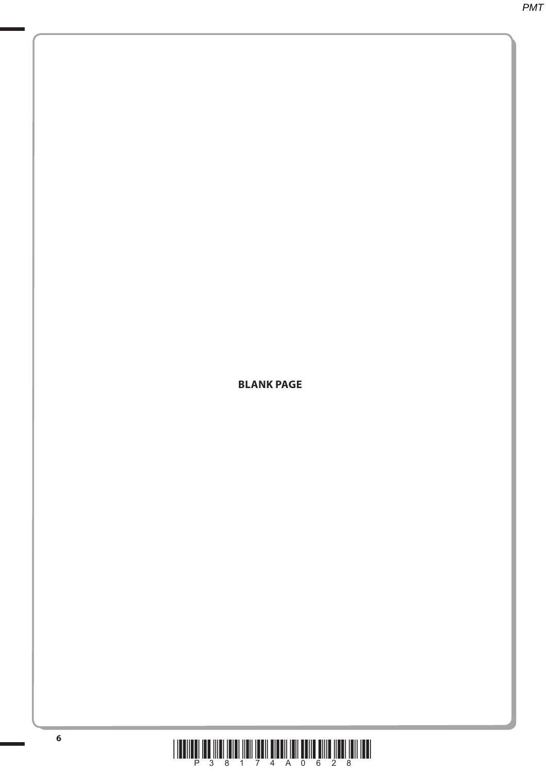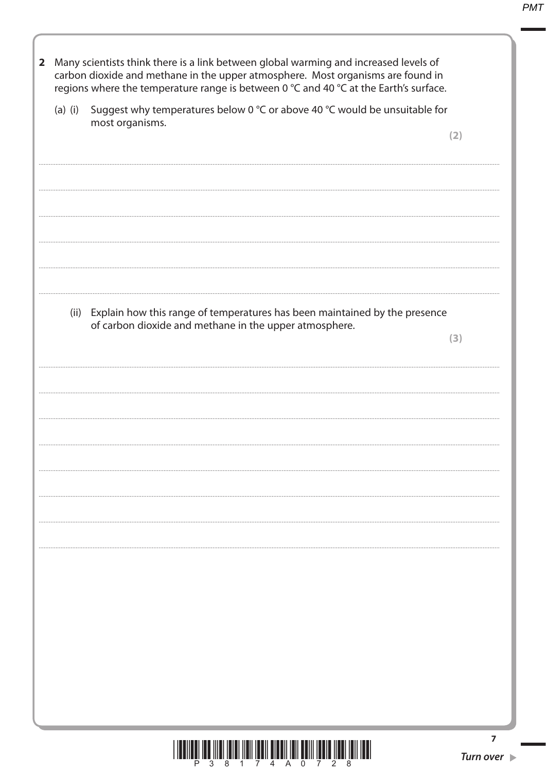2 Many scientists think there is a link between global warming and increased levels of carbon dioxide and methane in the upper atmosphere. Most organisms are found in regions where the temperature range is between 0 °C and 40 °C at the Earth's surface. (a) (i) Suggest why temperatures below 0 °C or above 40 °C would be unsuitable for most organisms.  $(2)$ (ii) Explain how this range of temperatures has been maintained by the presence of carbon dioxide and methane in the upper atmosphere.  $(3)$  $\overline{7}$ <u>ANTI INTI NITI INTI NI NITI ILI NI TITULI INTI ILI NI NITI ILI NI NITI ILI NI NITI ILI NI NITI ILI NI NITI ILI</u>

 $P = 3$   $3$   $8$   $1$   $7$   $4$   $4$   $8$   $0$   $7$   $2$   $8$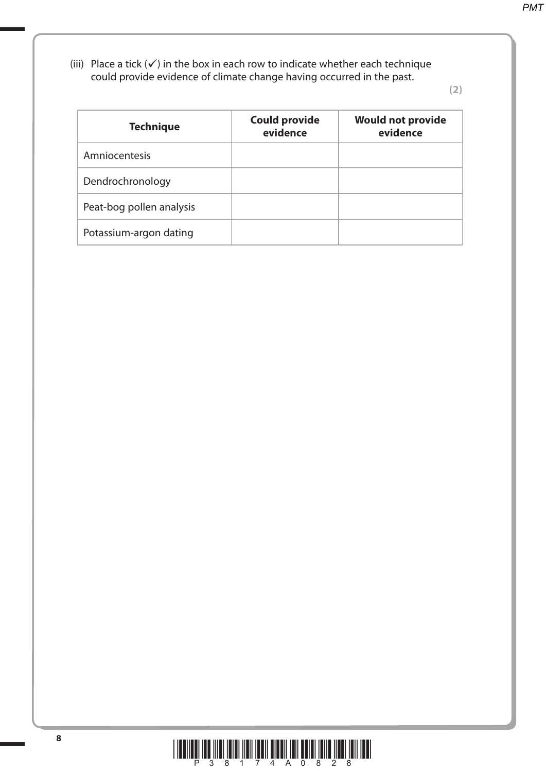(iii) Place a tick  $(\checkmark)$  in the box in each row to indicate whether each technique could provide evidence of climate change having occurred in the past.

**(2)**

| <b>Technique</b>         | <b>Could provide</b><br>evidence | <b>Would not provide</b><br>evidence |
|--------------------------|----------------------------------|--------------------------------------|
| Amniocentesis            |                                  |                                      |
| Dendrochronology         |                                  |                                      |
| Peat-bog pollen analysis |                                  |                                      |
| Potassium-argon dating   |                                  |                                      |

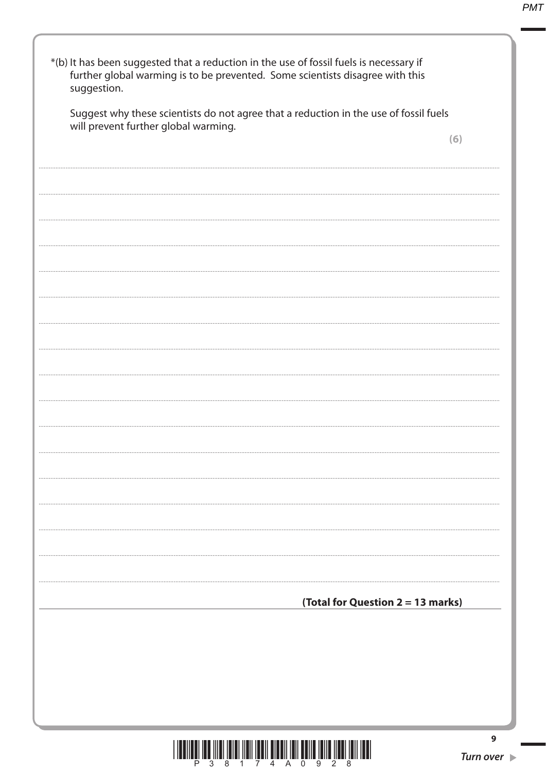| Suggest why these scientists do not agree that a reduction in the use of fossil fuels |                                   |     |
|---------------------------------------------------------------------------------------|-----------------------------------|-----|
| will prevent further global warming.                                                  |                                   | (6) |
|                                                                                       |                                   |     |
|                                                                                       |                                   |     |
|                                                                                       |                                   |     |
|                                                                                       |                                   |     |
|                                                                                       |                                   |     |
|                                                                                       |                                   |     |
|                                                                                       |                                   |     |
|                                                                                       |                                   |     |
|                                                                                       |                                   |     |
|                                                                                       |                                   |     |
|                                                                                       |                                   |     |
|                                                                                       |                                   |     |
|                                                                                       |                                   |     |
|                                                                                       |                                   |     |
|                                                                                       |                                   |     |
|                                                                                       |                                   |     |
|                                                                                       |                                   |     |
|                                                                                       |                                   |     |
|                                                                                       |                                   |     |
|                                                                                       |                                   |     |
|                                                                                       |                                   |     |
|                                                                                       |                                   |     |
|                                                                                       |                                   |     |
|                                                                                       |                                   |     |
|                                                                                       |                                   |     |
|                                                                                       |                                   |     |
|                                                                                       | (Total for Question 2 = 13 marks) |     |
|                                                                                       |                                   |     |
|                                                                                       |                                   |     |
|                                                                                       |                                   |     |
|                                                                                       |                                   |     |
|                                                                                       |                                   |     |
|                                                                                       |                                   |     |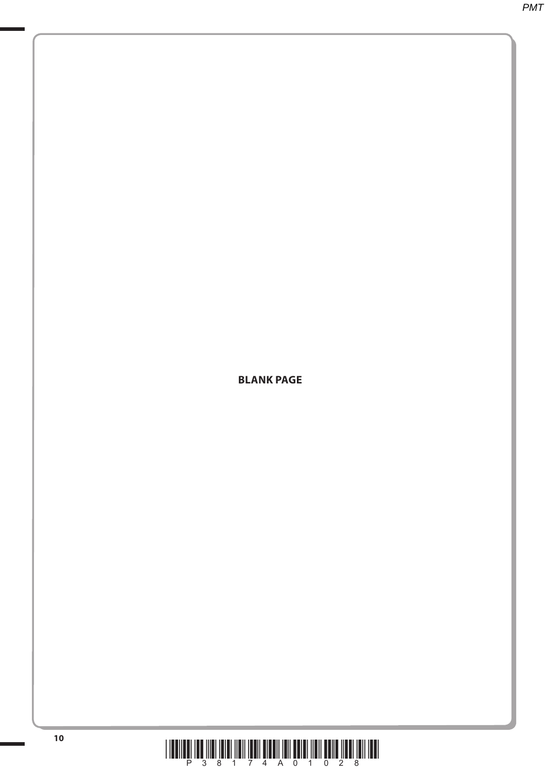

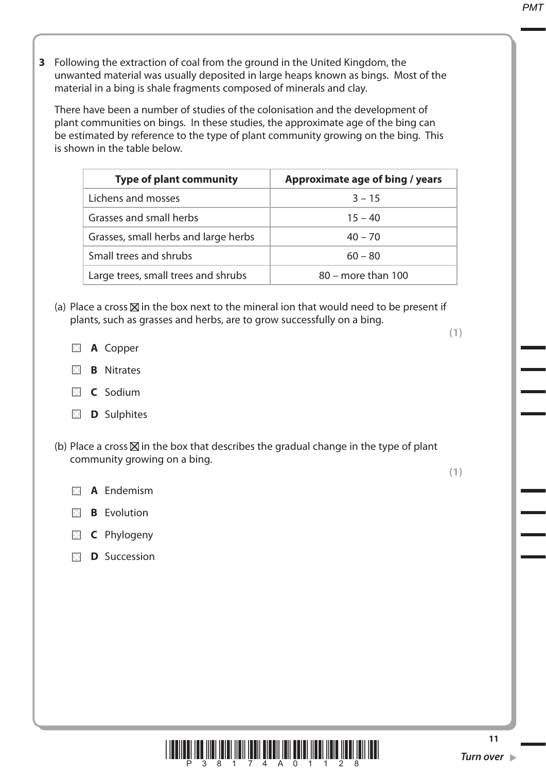**3** Following the extraction of coal from the ground in the United Kingdom, the unwanted material was usually deposited in large heaps known as bings. Most of the material in a bing is shale fragments composed of minerals and clay.

 There have been a number of studies of the colonisation and the development of plant communities on bings. In these studies, the approximate age of the bing can be estimated by reference to the type of plant community growing on the bing. This is shown in the table below.

| <b>Type of plant community</b>       | Approximate age of bing / years |
|--------------------------------------|---------------------------------|
| Lichens and mosses                   | $3 - 15$                        |
| Grasses and small herbs              | $15 - 40$                       |
| Grasses, small herbs and large herbs | $40 - 70$                       |
| Small trees and shrubs               | $60 - 80$                       |
| Large trees, small trees and shrubs  | $80 -$ more than 100            |

- (a) Place a cross  $\boxtimes$  in the box next to the mineral ion that would need to be present if plants, such as grasses and herbs, are to grow successfully on a bing.
	- **A** Copper
	- **B** Nitrates
	- **C** Sodium
	- **D** Sulphites
- (b) Place a cross  $\boxtimes$  in the box that describes the gradual change in the type of plant community growing on a bing.
	- **A** Endemism
	- **B** Evolution
	- **C** Phylogeny
	- **D** Succession



**(1)**

**(1)**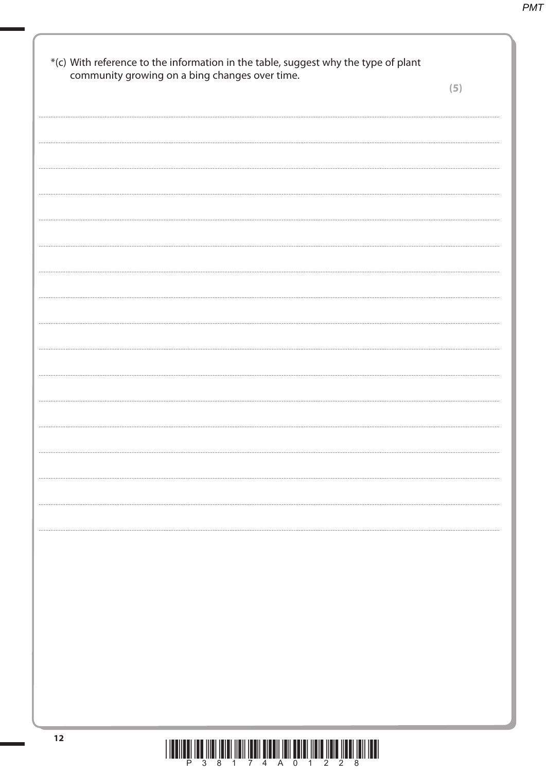| community growing on a bing changes over time.                                                                                        | (5) |
|---------------------------------------------------------------------------------------------------------------------------------------|-----|
|                                                                                                                                       |     |
|                                                                                                                                       |     |
|                                                                                                                                       |     |
|                                                                                                                                       |     |
|                                                                                                                                       |     |
|                                                                                                                                       |     |
|                                                                                                                                       |     |
|                                                                                                                                       |     |
|                                                                                                                                       |     |
|                                                                                                                                       |     |
|                                                                                                                                       |     |
|                                                                                                                                       |     |
|                                                                                                                                       |     |
|                                                                                                                                       |     |
|                                                                                                                                       |     |
|                                                                                                                                       |     |
|                                                                                                                                       |     |
|                                                                                                                                       |     |
|                                                                                                                                       |     |
|                                                                                                                                       |     |
|                                                                                                                                       |     |
|                                                                                                                                       |     |
|                                                                                                                                       |     |
|                                                                                                                                       |     |
|                                                                                                                                       |     |
|                                                                                                                                       |     |
|                                                                                                                                       |     |
|                                                                                                                                       |     |
|                                                                                                                                       |     |
|                                                                                                                                       |     |
|                                                                                                                                       |     |
| $12$<br><u>TI ILE III II TULI III II TELEVISI TULI II TELEVISI II TELEVISI II TELEVISI II TELEVISI II TELEVISI II TELEVI</u><br>IIIII |     |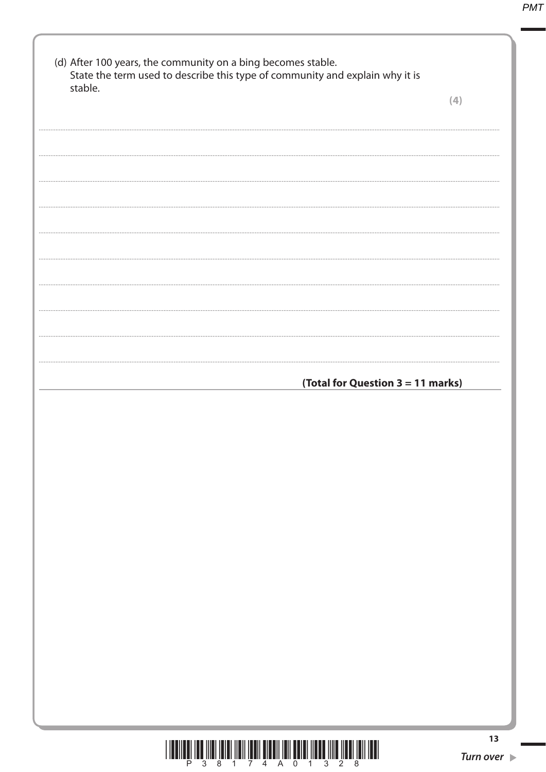| (4)                               |
|-----------------------------------|
|                                   |
|                                   |
|                                   |
|                                   |
|                                   |
|                                   |
|                                   |
|                                   |
|                                   |
|                                   |
|                                   |
|                                   |
|                                   |
|                                   |
| (Total for Question 3 = 11 marks) |
|                                   |
|                                   |
|                                   |
|                                   |
|                                   |
|                                   |
|                                   |
|                                   |
|                                   |
|                                   |
|                                   |
|                                   |
|                                   |
|                                   |
|                                   |
|                                   |
|                                   |
|                                   |

1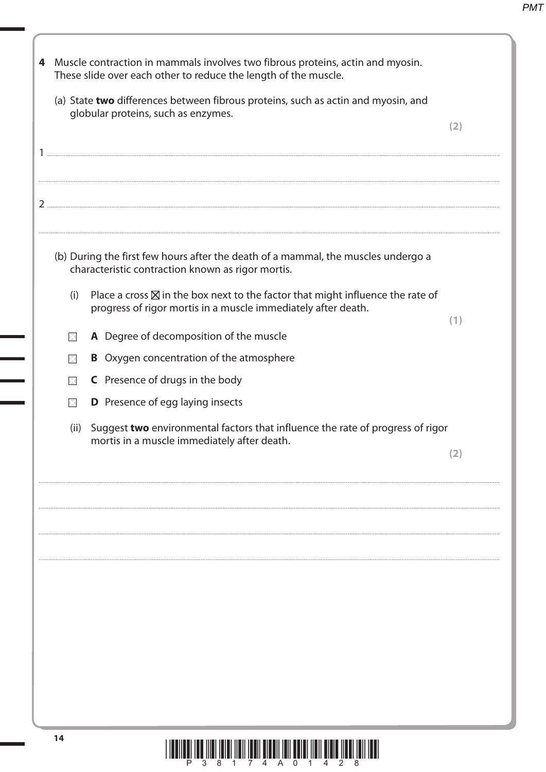| 4 |             | Muscle contraction in mammals involves two fibrous proteins, actin and myosin.<br>These slide over each other to reduce the length of the muscle.         |     |
|---|-------------|-----------------------------------------------------------------------------------------------------------------------------------------------------------|-----|
|   |             | (a) State two differences between fibrous proteins, such as actin and myosin, and                                                                         |     |
|   |             | globular proteins, such as enzymes.                                                                                                                       | (2) |
|   |             |                                                                                                                                                           |     |
|   |             |                                                                                                                                                           |     |
| 2 |             |                                                                                                                                                           |     |
|   |             | (b) During the first few hours after the death of a mammal, the muscles undergo a<br>characteristic contraction known as rigor mortis.                    |     |
|   | (i)         | Place a cross $\boxtimes$ in the box next to the factor that might influence the rate of<br>progress of rigor mortis in a muscle immediately after death. | (1) |
|   | $\boxtimes$ | A Degree of decomposition of the muscle                                                                                                                   |     |
|   | X           | <b>B</b> Oxygen concentration of the atmosphere                                                                                                           |     |
|   | $\times$    | C Presence of drugs in the body                                                                                                                           |     |
|   | $\times$    | <b>D</b> Presence of egg laying insects                                                                                                                   |     |
|   | (ii)        | Suggest two environmental factors that influence the rate of progress of rigor<br>mortis in a muscle immediately after death.                             |     |
|   |             |                                                                                                                                                           | (2) |
|   |             |                                                                                                                                                           |     |
|   |             |                                                                                                                                                           |     |
|   |             |                                                                                                                                                           |     |
|   |             |                                                                                                                                                           |     |
|   |             |                                                                                                                                                           |     |
|   |             |                                                                                                                                                           |     |
|   |             |                                                                                                                                                           |     |
|   |             |                                                                                                                                                           |     |
|   |             |                                                                                                                                                           |     |
|   |             |                                                                                                                                                           |     |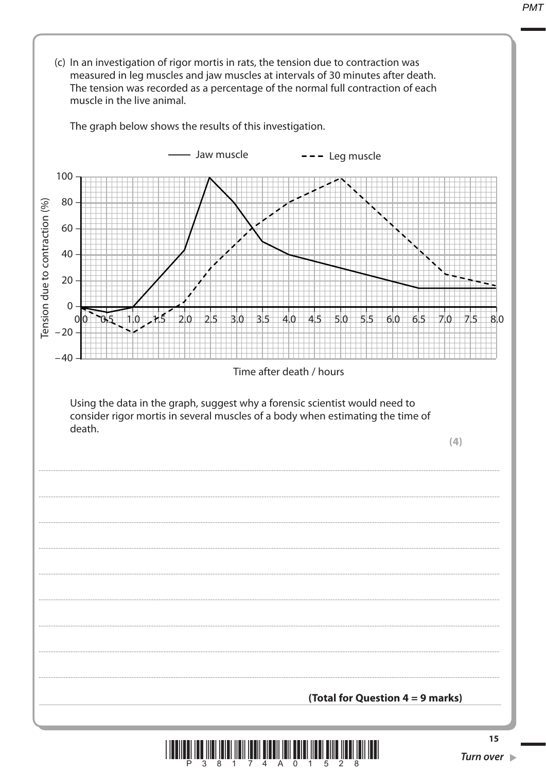

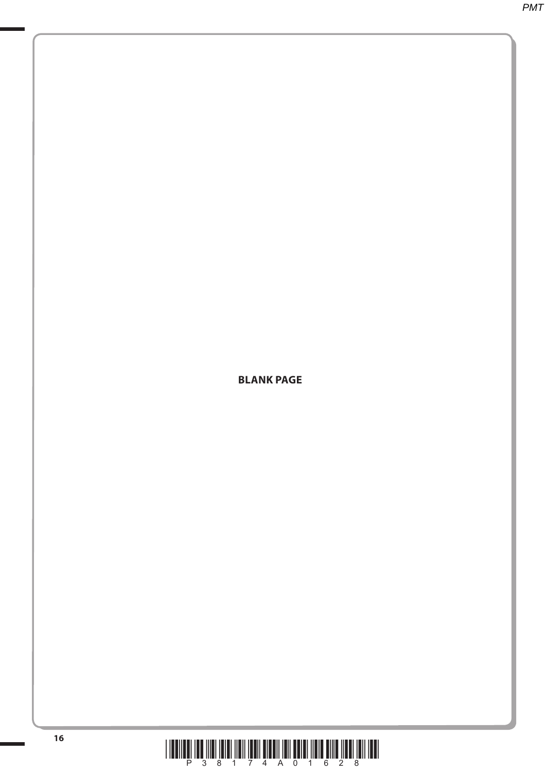

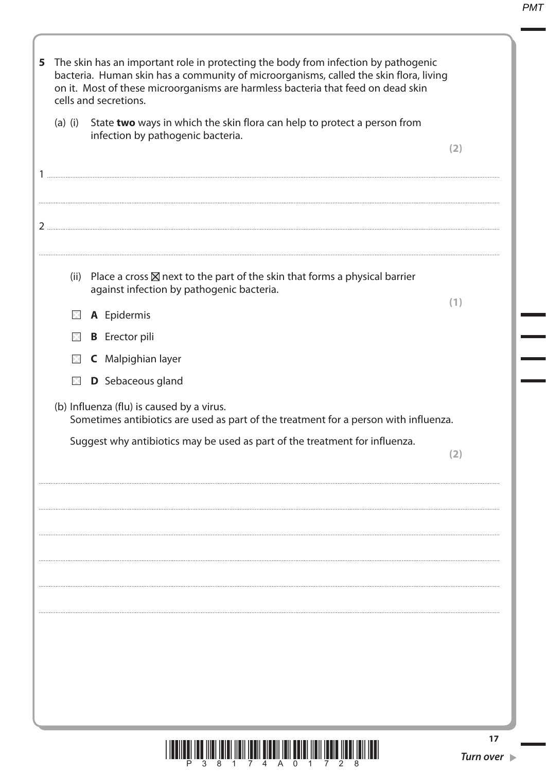| 5 |          | The skin has an important role in protecting the body from infection by pathogenic<br>bacteria. Human skin has a community of microorganisms, called the skin flora, living<br>on it. Most of these microorganisms are harmless bacteria that feed on dead skin<br>cells and secretions. |                 |
|---|----------|------------------------------------------------------------------------------------------------------------------------------------------------------------------------------------------------------------------------------------------------------------------------------------------|-----------------|
|   |          | (a) (i) State two ways in which the skin flora can help to protect a person from<br>infection by pathogenic bacteria.                                                                                                                                                                    |                 |
|   |          |                                                                                                                                                                                                                                                                                          | (2)             |
|   | 1        |                                                                                                                                                                                                                                                                                          |                 |
|   |          |                                                                                                                                                                                                                                                                                          |                 |
|   | 2        |                                                                                                                                                                                                                                                                                          |                 |
|   |          | (ii) Place a cross $\boxtimes$ next to the part of the skin that forms a physical barrier<br>against infection by pathogenic bacteria.                                                                                                                                                   |                 |
|   | $\times$ | A Epidermis                                                                                                                                                                                                                                                                              | (1)             |
|   | $\times$ | <b>B</b> Erector pili                                                                                                                                                                                                                                                                    |                 |
|   | $\times$ | <b>C</b> Malpighian layer                                                                                                                                                                                                                                                                |                 |
|   | $\times$ | <b>D</b> Sebaceous gland                                                                                                                                                                                                                                                                 |                 |
|   |          | (b) Influenza (flu) is caused by a virus.<br>Sometimes antibiotics are used as part of the treatment for a person with influenza.                                                                                                                                                        |                 |
|   |          | Suggest why antibiotics may be used as part of the treatment for influenza.                                                                                                                                                                                                              | (2)             |
|   |          |                                                                                                                                                                                                                                                                                          |                 |
|   |          |                                                                                                                                                                                                                                                                                          |                 |
|   |          |                                                                                                                                                                                                                                                                                          |                 |
|   |          |                                                                                                                                                                                                                                                                                          |                 |
|   |          |                                                                                                                                                                                                                                                                                          |                 |
|   |          |                                                                                                                                                                                                                                                                                          |                 |
|   |          |                                                                                                                                                                                                                                                                                          |                 |
|   |          |                                                                                                                                                                                                                                                                                          |                 |
|   |          |                                                                                                                                                                                                                                                                                          |                 |
|   |          |                                                                                                                                                                                                                                                                                          |                 |
|   |          |                                                                                                                                                                                                                                                                                          |                 |
|   |          |                                                                                                                                                                                                                                                                                          |                 |
|   |          |                                                                                                                                                                                                                                                                                          | 17<br>Turn over |
|   |          |                                                                                                                                                                                                                                                                                          |                 |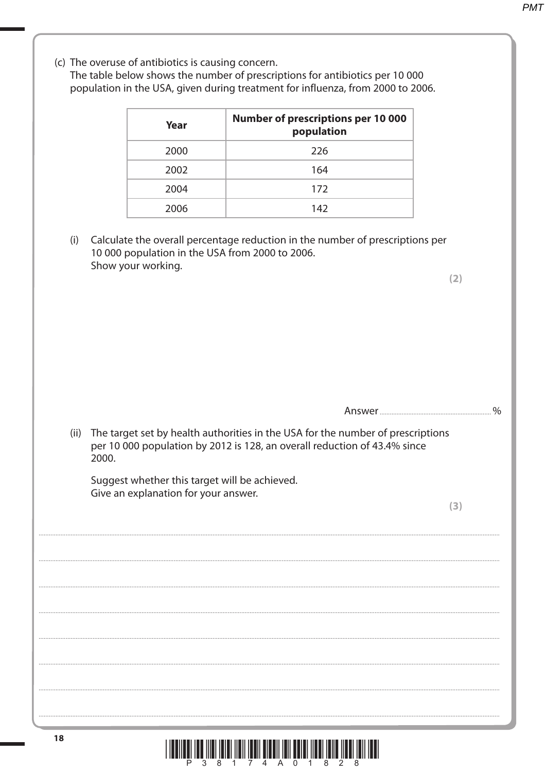(c) The overuse of antibiotics is causing concern. The table below shows the number of prescriptions for antibiotics per 10 000 population in the USA, given during treatment for influenza, from 2000 to 2006.

| Year | <b>Number of prescriptions per 10 000</b><br>population |
|------|---------------------------------------------------------|
| 2000 | 226                                                     |
| 2002 | 164                                                     |
| 2004 | 172                                                     |
| 2006 | 142                                                     |

(i) Calculate the overall percentage reduction in the number of prescriptions per 10 000 population in the USA from 2000 to 2006. Show your working.

| (ii) The target set by health authorities in the USA for the number of prescriptions<br>per 10 000 population by 2012 is 128, an overall reduction of 43.4% since<br>2000.                                                          |
|-------------------------------------------------------------------------------------------------------------------------------------------------------------------------------------------------------------------------------------|
| $\epsilon$ . The set of the set of the set of the set of the set of the set of the set of the set of the set of the set of the set of the set of the set of the set of the set of the set of the set of the set of the set of the s |

Suggest whether this target will be achieved. Give an explanation for your answer.

 $(3)$ 

 $(2)$ 

3 8 1 7 4 A 0 1 8 2 8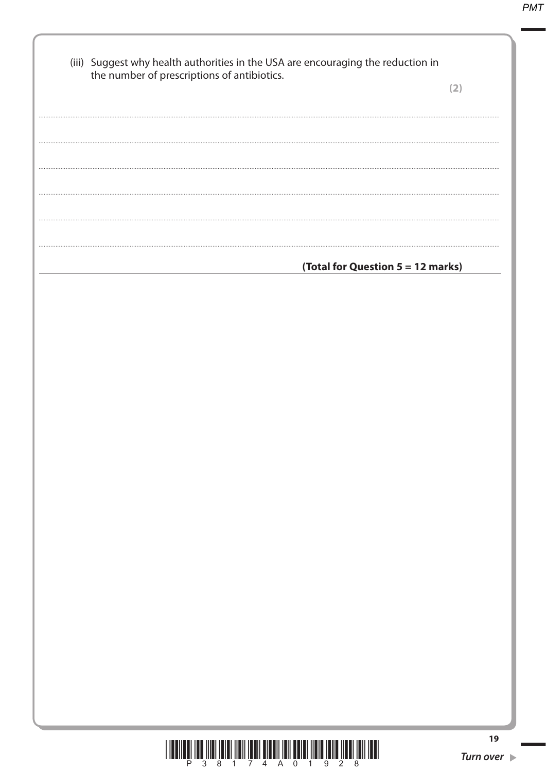| (iii) Suggest why health authorities in the USA are encouraging the reduction in<br>the number of prescriptions of antibiotics. |           |  |  |  |  |  |
|---------------------------------------------------------------------------------------------------------------------------------|-----------|--|--|--|--|--|
|                                                                                                                                 | (2)       |  |  |  |  |  |
|                                                                                                                                 |           |  |  |  |  |  |
|                                                                                                                                 |           |  |  |  |  |  |
|                                                                                                                                 |           |  |  |  |  |  |
|                                                                                                                                 |           |  |  |  |  |  |
|                                                                                                                                 |           |  |  |  |  |  |
| (Total for Question 5 = 12 marks)                                                                                               |           |  |  |  |  |  |
|                                                                                                                                 |           |  |  |  |  |  |
|                                                                                                                                 |           |  |  |  |  |  |
|                                                                                                                                 |           |  |  |  |  |  |
|                                                                                                                                 |           |  |  |  |  |  |
|                                                                                                                                 |           |  |  |  |  |  |
|                                                                                                                                 |           |  |  |  |  |  |
|                                                                                                                                 |           |  |  |  |  |  |
|                                                                                                                                 |           |  |  |  |  |  |
|                                                                                                                                 |           |  |  |  |  |  |
|                                                                                                                                 |           |  |  |  |  |  |
|                                                                                                                                 |           |  |  |  |  |  |
|                                                                                                                                 |           |  |  |  |  |  |
|                                                                                                                                 |           |  |  |  |  |  |
|                                                                                                                                 |           |  |  |  |  |  |
|                                                                                                                                 |           |  |  |  |  |  |
|                                                                                                                                 |           |  |  |  |  |  |
|                                                                                                                                 | 19        |  |  |  |  |  |
|                                                                                                                                 | Turn over |  |  |  |  |  |

1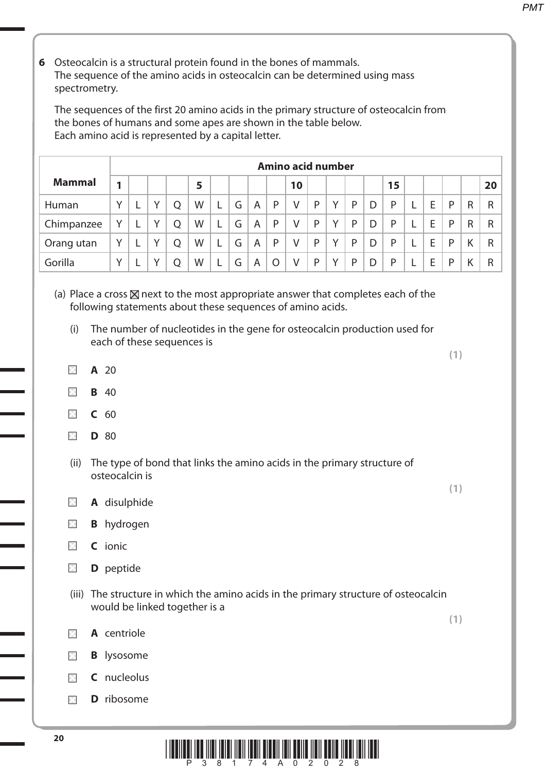**6** Osteocalcin is a structural protein found in the bones of mammals. The sequence of the amino acids in osteocalcin can be determined using mass spectrometry.

 The sequences of the first 20 amino acids in the primary structure of osteocalcin from the bones of humans and some apes are shown in the table below. Each amino acid is represented by a capital letter.

|               | Amino acid number |  |   |   |   |  |   |   |   |    |   |              |   |   |    |   |   |   |                |
|---------------|-------------------|--|---|---|---|--|---|---|---|----|---|--------------|---|---|----|---|---|---|----------------|
| <b>Mammal</b> | 1                 |  |   |   | 5 |  |   |   |   | 10 |   |              |   |   | 15 |   |   |   | 20             |
| Human         | v                 |  | v | Q | W |  | G | A | P | V  | P | v            | P | D | P  | E | P | R | $\mathsf{R}^-$ |
| Chimpanzee    | $\checkmark$      |  | Y | Q | W |  | G | A | P | V  | P | $\checkmark$ | P | D | P  | E | P | R | $R_{\perp}$    |
| Orang utan    | v                 |  | v | Q | W |  | G | A | P | V  | P | v            | P | D | P  | E | P | K | R              |
| Gorilla       | v                 |  | v | O | W |  | G | A | O | V  | P | v            | D | D | P  | Ε | P | Κ | R              |

- (a) Place a cross  $\boxtimes$  next to the most appropriate answer that completes each of the following statements about these sequences of amino acids.
	- (i) The number of nucleotides in the gene for osteocalcin production used for each of these sequences is
	- **A** 20
	- **B** 40
	- **C** 60
	- **D** 80
	- (ii) The type of bond that links the amino acids in the primary structure of osteocalcin is
	- **A** disulphide
	- **B** hydrogen
	- **C** ionic
	- **D** peptide
	- (iii) The structure in which the amino acids in the primary structure of osteocalcin would be linked together is a
		- **(1)**

**(1)**

**(1)**

 **B** lysosome

**A** centriole

- **C** nucleolus
- **D** ribosome

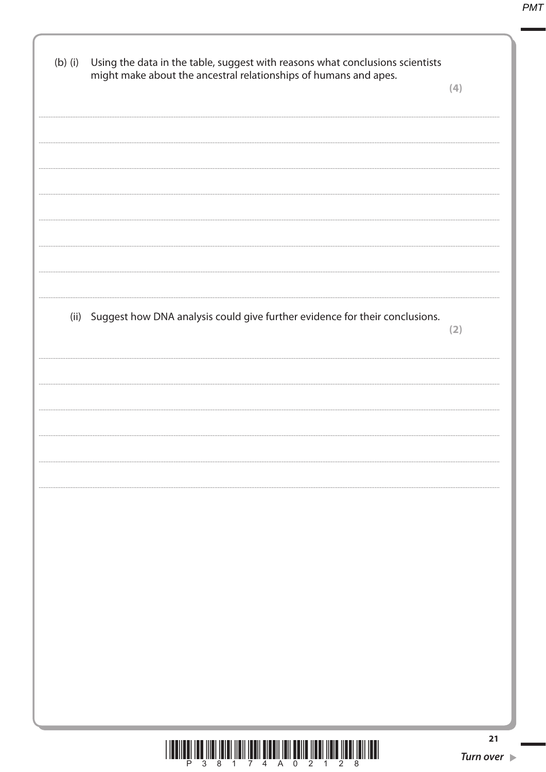|  | (b) (i) Using the data in the table, suggest with reasons what conclusions scientists<br>might make about the ancestral relationships of humans and apes.                                                                                                                                                                                                                                                                                                     |           |
|--|---------------------------------------------------------------------------------------------------------------------------------------------------------------------------------------------------------------------------------------------------------------------------------------------------------------------------------------------------------------------------------------------------------------------------------------------------------------|-----------|
|  |                                                                                                                                                                                                                                                                                                                                                                                                                                                               | (4)       |
|  |                                                                                                                                                                                                                                                                                                                                                                                                                                                               |           |
|  |                                                                                                                                                                                                                                                                                                                                                                                                                                                               |           |
|  |                                                                                                                                                                                                                                                                                                                                                                                                                                                               |           |
|  |                                                                                                                                                                                                                                                                                                                                                                                                                                                               |           |
|  |                                                                                                                                                                                                                                                                                                                                                                                                                                                               |           |
|  | (ii) Suggest how DNA analysis could give further evidence for their conclusions.                                                                                                                                                                                                                                                                                                                                                                              |           |
|  |                                                                                                                                                                                                                                                                                                                                                                                                                                                               | (2)       |
|  |                                                                                                                                                                                                                                                                                                                                                                                                                                                               |           |
|  |                                                                                                                                                                                                                                                                                                                                                                                                                                                               |           |
|  |                                                                                                                                                                                                                                                                                                                                                                                                                                                               |           |
|  |                                                                                                                                                                                                                                                                                                                                                                                                                                                               |           |
|  |                                                                                                                                                                                                                                                                                                                                                                                                                                                               |           |
|  |                                                                                                                                                                                                                                                                                                                                                                                                                                                               |           |
|  |                                                                                                                                                                                                                                                                                                                                                                                                                                                               |           |
|  |                                                                                                                                                                                                                                                                                                                                                                                                                                                               |           |
|  |                                                                                                                                                                                                                                                                                                                                                                                                                                                               |           |
|  |                                                                                                                                                                                                                                                                                                                                                                                                                                                               |           |
|  |                                                                                                                                                                                                                                                                                                                                                                                                                                                               |           |
|  | $\begin{array}{c} \text{if} \ \text{if} \ \text{if} \ \text{if} \ \text{if} \ \text{if} \ \text{if} \ \text{if} \ \text{if} \ \text{if} \ \text{if} \ \text{if} \ \text{if} \ \text{if} \ \text{if} \ \text{if} \ \text{if} \ \text{if} \ \text{if} \ \text{if} \ \text{if} \ \text{if} \ \text{if} \ \text{if} \ \text{if} \ \text{if} \ \text{if} \ \text{if} \ \text{if} \ \text{if} \ \text{if} \ \text{if} \ \text{if} \ \text{if} \ \text{if} \ \text{$ | 21        |
|  |                                                                                                                                                                                                                                                                                                                                                                                                                                                               | Turn over |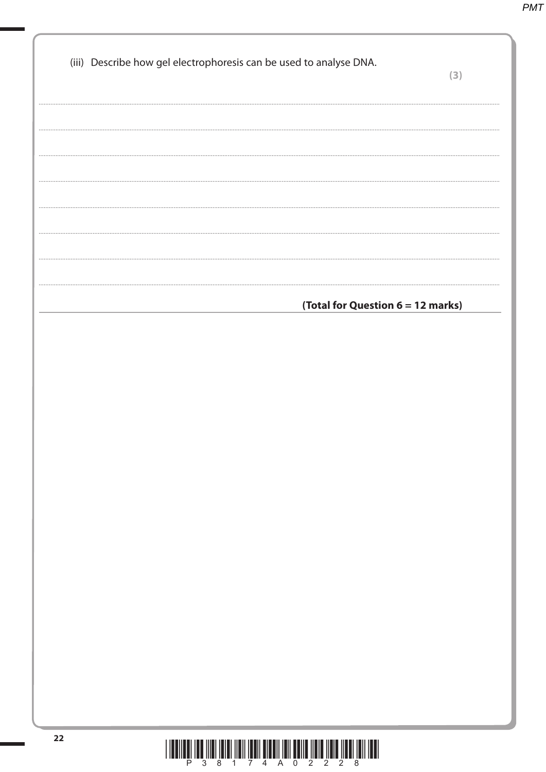| (iii) Describe how gel electrophoresis can be used to analyse DNA. | (3) |
|--------------------------------------------------------------------|-----|
|                                                                    |     |
|                                                                    |     |
|                                                                    |     |
| (Total for Question 6 = 12 marks)                                  |     |
|                                                                    |     |
|                                                                    |     |
|                                                                    |     |
|                                                                    |     |
|                                                                    |     |
|                                                                    |     |
|                                                                    |     |
| 22                                                                 |     |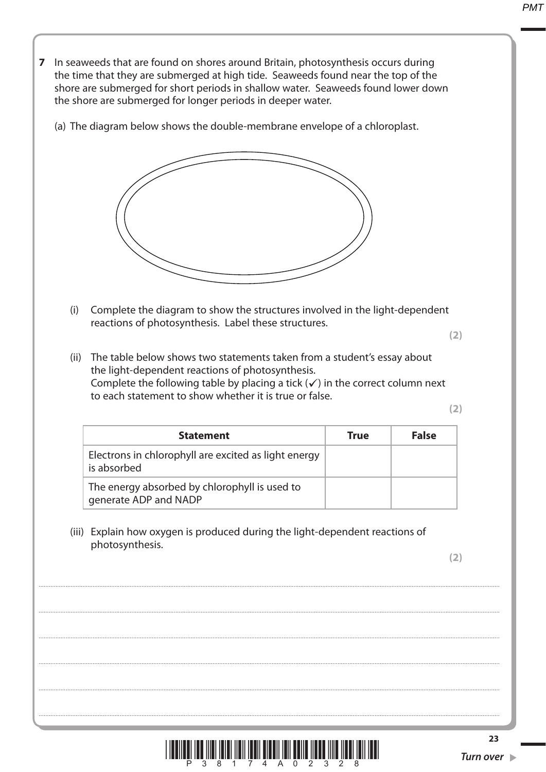- 
- **7** In seaweeds that are found on shores around Britain, photosynthesis occurs during the time that they are submerged at high tide. Seaweeds found near the top of the shore are submerged for short periods in shallow water. Seaweeds found lower down the shore are submerged for longer periods in deeper water.
	- (a) The diagram below shows the double-membrane envelope of a chloroplast.



- **(2)**
- (ii) The table below shows two statements taken from a student's essay about the light-dependent reactions of photosynthesis. Complete the following table by placing a tick  $(\checkmark)$  in the correct column next to each statement to show whether it is true or false.

| ٠<br>٠ |  |
|--------|--|
|        |  |
|        |  |

| <b>Statement</b>                                                       | True | <b>False</b> |
|------------------------------------------------------------------------|------|--------------|
| Electrons in chlorophyll are excited as light energy<br>is absorbed    |      |              |
| The energy absorbed by chlorophyll is used to<br>generate ADP and NADP |      |              |

.................................................................................................................................................................................................................................................................................

.................................................................................................................................................................................................................................................................................

.................................................................................................................................................................................................................................................................................

.................................................................................................................................................................................................................................................................................

.................................................................................................................................................................................................................................................................................

.................................................................................................................................................................................................................................................................................

 (iii) Explain how oxygen is produced during the light-dependent reactions of photosynthesis.

**(2)**

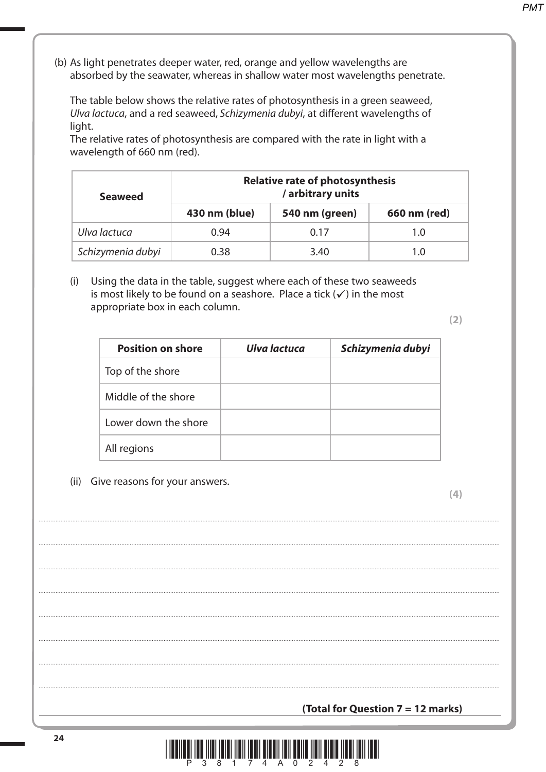(b) As light penetrates deeper water, red, orange and yellow wavelengths are absorbed by the seawater, whereas in shallow water most wavelengths penetrate.

The table below shows the relative rates of photosynthesis in a green seaweed, Ulva lactuca, and a red seaweed, Schizymenia dubyi, at different wavelengths of light.

The relative rates of photosynthesis are compared with the rate in light with a wavelength of 660 nm (red).

| <b>Seaweed</b>    | <b>Relative rate of photosynthesis</b><br>/ arbitrary units |                |              |  |  |  |  |  |  |
|-------------------|-------------------------------------------------------------|----------------|--------------|--|--|--|--|--|--|
|                   | 430 nm (blue)                                               | 540 nm (green) | 660 nm (red) |  |  |  |  |  |  |
| Ulva lactuca      | 0.94                                                        | 0.17           | 1.0          |  |  |  |  |  |  |
| Schizymenia dubyi | 0.38                                                        | 3.40           | L.O          |  |  |  |  |  |  |

(i) Using the data in the table, suggest where each of these two seaweeds is most likely to be found on a seashore. Place a tick  $(\checkmark)$  in the most appropriate box in each column.

 $(2)$ 

| <b>Position on shore</b> | Ulva lactuca | Schizymenia dubyi |
|--------------------------|--------------|-------------------|
| Top of the shore         |              |                   |
| Middle of the shore      |              |                   |
| Lower down the shore     |              |                   |
| All regions              |              |                   |

(ii) Give reasons for your answers.

 $(4)$ 

(Total for Question 7 = 12 marks)

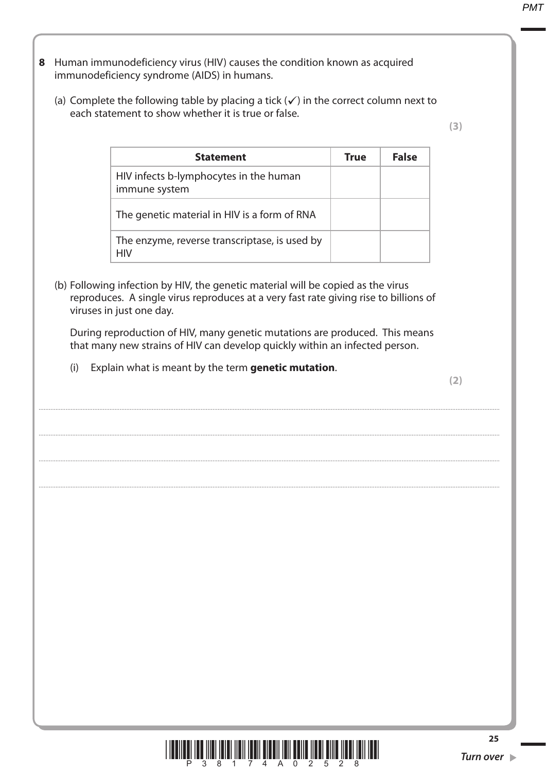- **8** Human immunodeficiency virus (HIV) causes the condition known as acquired immunodeficiency syndrome (AIDS) in humans.
	- (a) Complete the following table by placing a tick  $(\checkmark)$  in the correct column next to each statement to show whether it is true or false.

**(3)**

| <b>Statement</b>                                            | True | <b>False</b> |
|-------------------------------------------------------------|------|--------------|
| HIV infects b-lymphocytes in the human<br>immune system     |      |              |
| The genetic material in HIV is a form of RNA                |      |              |
| The enzyme, reverse transcriptase, is used by<br><b>HIV</b> |      |              |

 (b) Following infection by HIV, the genetic material will be copied as the virus reproduces. A single virus reproduces at a very fast rate giving rise to billions of viruses in just one day.

 During reproduction of HIV, many genetic mutations are produced. This means that many new strains of HIV can develop quickly within an infected person.

.................................................................................................................................................................................................................................................................................

.................................................................................................................................................................................................................................................................................

.................................................................................................................................................................................................................................................................................

.................................................................................................................................................................................................................................................................................

(i) Explain what is meant by the term **genetic mutation**.

**(2)**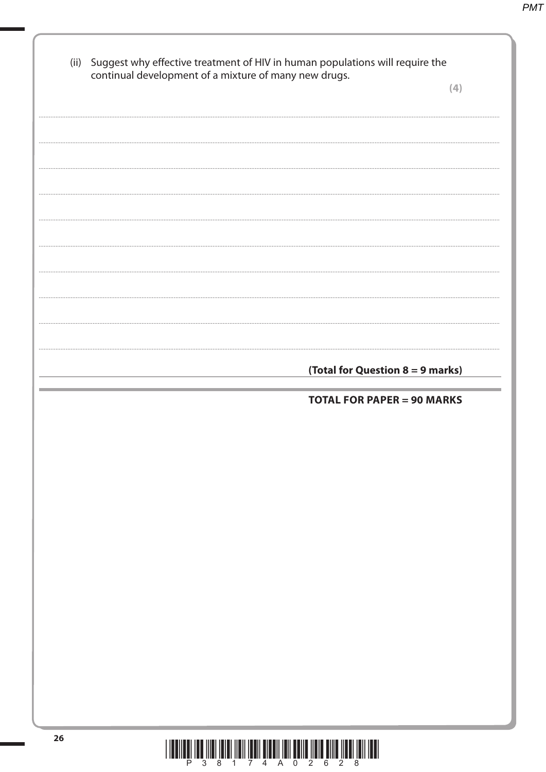| (ii) Suggest why effective treatment of HIV in human populations will require the<br>continual development of a mixture of many new drugs. |     |
|--------------------------------------------------------------------------------------------------------------------------------------------|-----|
|                                                                                                                                            | (4) |
|                                                                                                                                            |     |
|                                                                                                                                            |     |
|                                                                                                                                            |     |
|                                                                                                                                            |     |
|                                                                                                                                            |     |
|                                                                                                                                            |     |
|                                                                                                                                            |     |
|                                                                                                                                            |     |
|                                                                                                                                            |     |
| (Total for Question 8 = 9 marks)                                                                                                           |     |
| <b>TOTAL FOR PAPER = 90 MARKS</b>                                                                                                          |     |
|                                                                                                                                            |     |
|                                                                                                                                            |     |
|                                                                                                                                            |     |
|                                                                                                                                            |     |
|                                                                                                                                            |     |
|                                                                                                                                            |     |
|                                                                                                                                            |     |
|                                                                                                                                            |     |
|                                                                                                                                            |     |
|                                                                                                                                            |     |
|                                                                                                                                            |     |
|                                                                                                                                            |     |

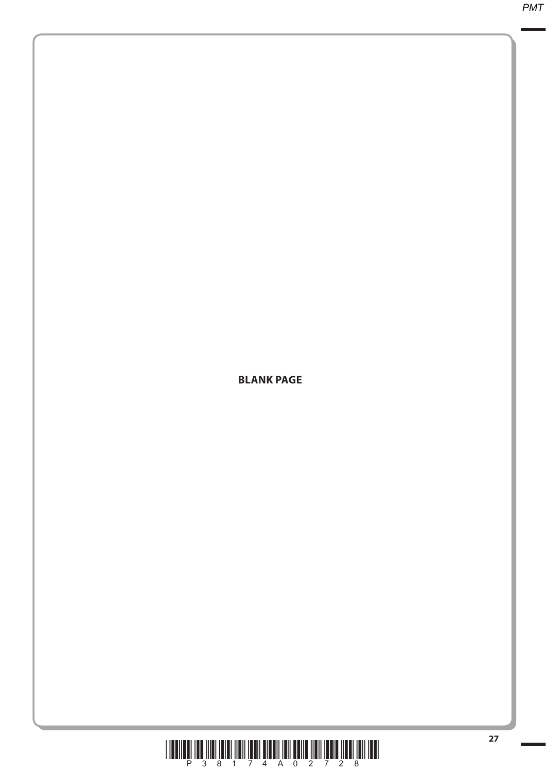$\frac{27}{5}$   $\frac{27}{3}$   $\frac{27}{8}$   $\frac{27}{4}$   $\frac{27}{4}$   $\frac{27}{4}$   $\frac{27}{8}$